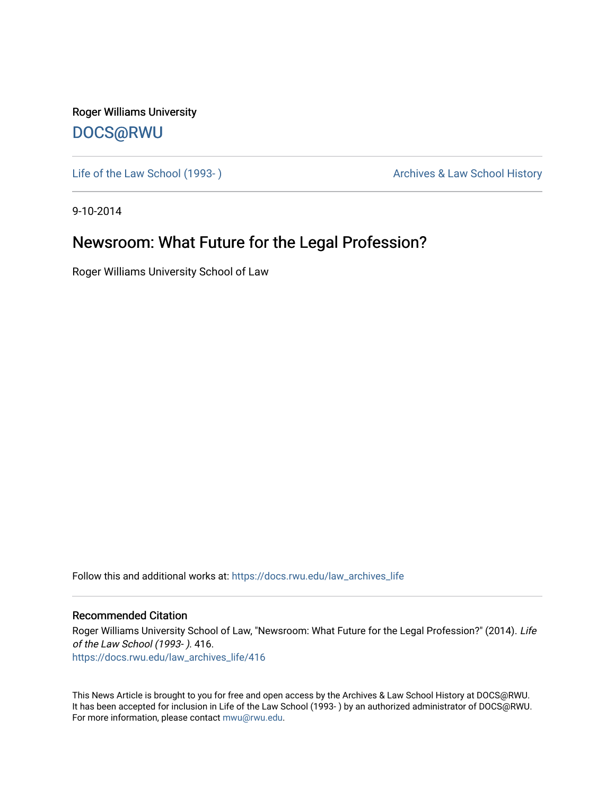Roger Williams University [DOCS@RWU](https://docs.rwu.edu/)

Life of the Law School (1993-) and the Law School History Archives & Law School History

9-10-2014

## Newsroom: What Future for the Legal Profession?

Roger Williams University School of Law

Follow this and additional works at: [https://docs.rwu.edu/law\\_archives\\_life](https://docs.rwu.edu/law_archives_life?utm_source=docs.rwu.edu%2Flaw_archives_life%2F416&utm_medium=PDF&utm_campaign=PDFCoverPages)

## Recommended Citation

Roger Williams University School of Law, "Newsroom: What Future for the Legal Profession?" (2014). Life of the Law School (1993- ). 416. [https://docs.rwu.edu/law\\_archives\\_life/416](https://docs.rwu.edu/law_archives_life/416?utm_source=docs.rwu.edu%2Flaw_archives_life%2F416&utm_medium=PDF&utm_campaign=PDFCoverPages)

This News Article is brought to you for free and open access by the Archives & Law School History at DOCS@RWU. It has been accepted for inclusion in Life of the Law School (1993- ) by an authorized administrator of DOCS@RWU. For more information, please contact [mwu@rwu.edu](mailto:mwu@rwu.edu).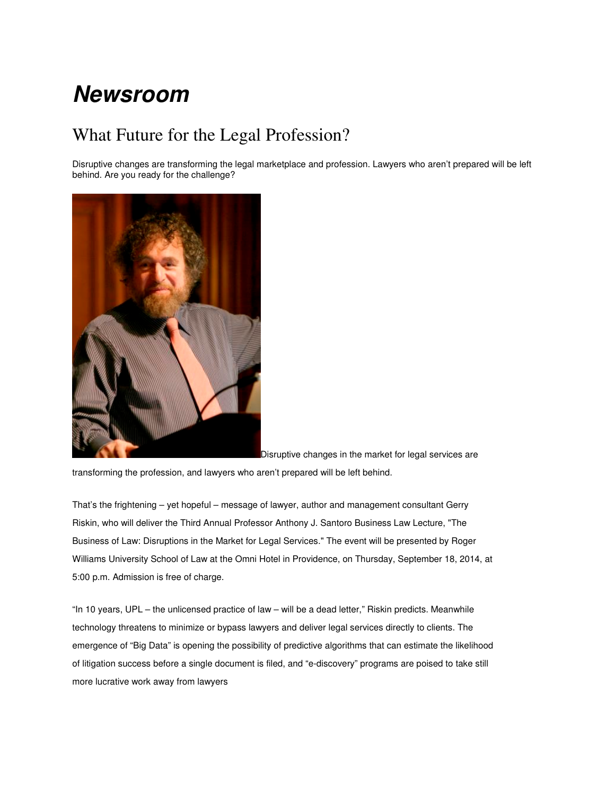## **Newsroom**

## What Future for the Legal Profession?

Disruptive changes are transforming the legal marketplace and profession. Lawyers who aren't prepared will be left behind. Are you ready for the challenge?



Disruptive changes in the market for legal services are

transforming the profession, and lawyers who aren't prepared will be left behind.

That's the frightening – yet hopeful – message of lawyer, author and management consultant Gerry Riskin, who will deliver the Third Annual Professor Anthony J. Santoro Business Law Lecture, "The Business of Law: Disruptions in the Market for Legal Services." The event will be presented by Roger Williams University School of Law at the Omni Hotel in Providence, on Thursday, September 18, 2014, at 5:00 p.m. Admission is free of charge.

"In 10 years, UPL – the unlicensed practice of law – will be a dead letter," Riskin predicts. Meanwhile technology threatens to minimize or bypass lawyers and deliver legal services directly to clients. The emergence of "Big Data" is opening the possibility of predictive algorithms that can estimate the likelihood of litigation success before a single document is filed, and "e-discovery" programs are poised to take still more lucrative work away from lawyers